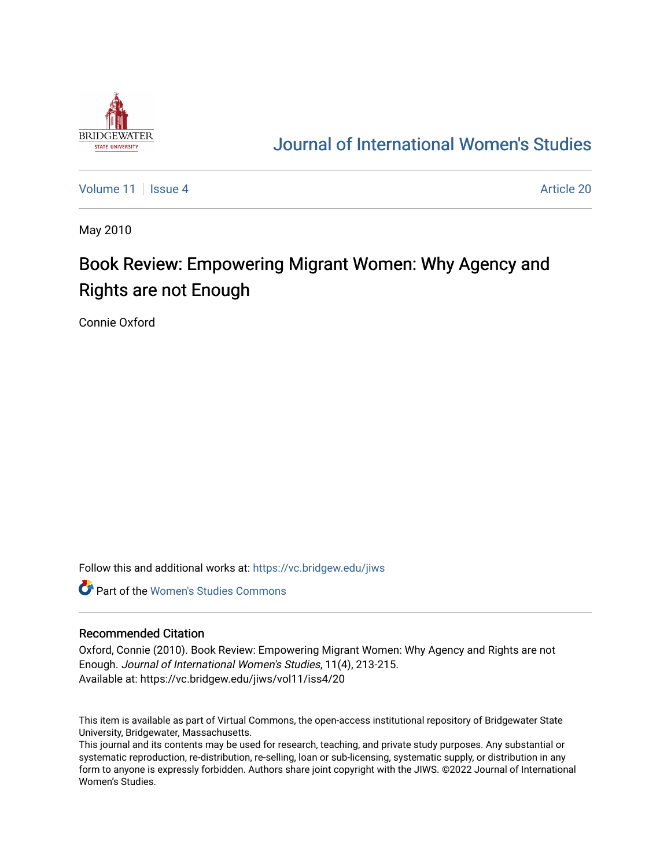

## [Journal of International Women's Studies](https://vc.bridgew.edu/jiws)

[Volume 11](https://vc.bridgew.edu/jiws/vol11) | [Issue 4](https://vc.bridgew.edu/jiws/vol11/iss4) Article 20

May 2010

# Book Review: Empowering Migrant Women: Why Agency and Rights are not Enough

Connie Oxford

Follow this and additional works at: [https://vc.bridgew.edu/jiws](https://vc.bridgew.edu/jiws?utm_source=vc.bridgew.edu%2Fjiws%2Fvol11%2Fiss4%2F20&utm_medium=PDF&utm_campaign=PDFCoverPages)

**C** Part of the Women's Studies Commons

#### Recommended Citation

Oxford, Connie (2010). Book Review: Empowering Migrant Women: Why Agency and Rights are not Enough. Journal of International Women's Studies, 11(4), 213-215. Available at: https://vc.bridgew.edu/jiws/vol11/iss4/20

This item is available as part of Virtual Commons, the open-access institutional repository of Bridgewater State University, Bridgewater, Massachusetts.

This journal and its contents may be used for research, teaching, and private study purposes. Any substantial or systematic reproduction, re-distribution, re-selling, loan or sub-licensing, systematic supply, or distribution in any form to anyone is expressly forbidden. Authors share joint copyright with the JIWS. ©2022 Journal of International Women's Studies.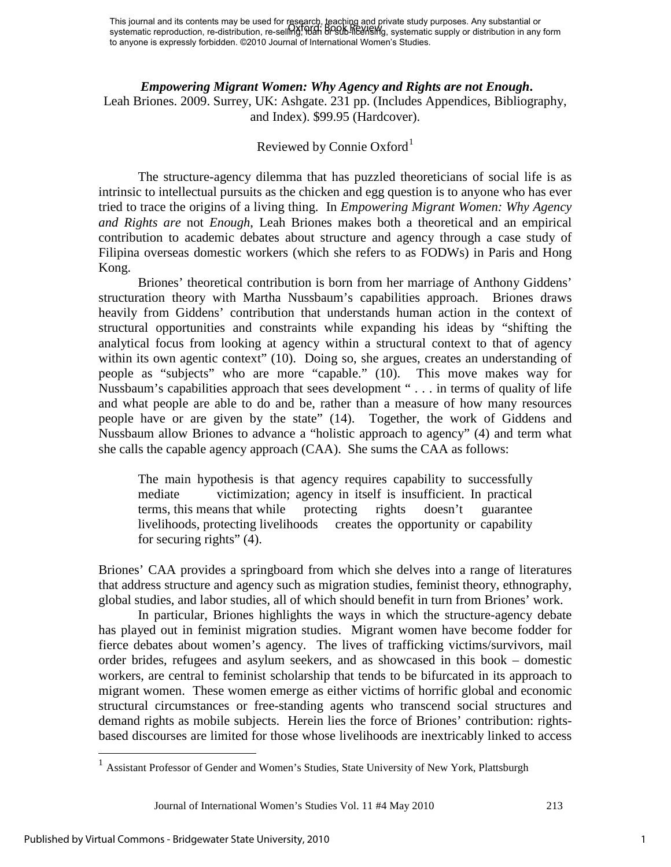#### *Empowering Migrant Women: Why Agency and Rights are not Enough***.**

Leah Briones. 2009. Surrey, UK: Ashgate. 231 pp. (Includes Appendices, Bibliography, and Index). \$99.95 (Hardcover).

### Reviewed by Connie Oxford<sup>[1](#page-1-0)</sup>

The structure-agency dilemma that has puzzled theoreticians of social life is as intrinsic to intellectual pursuits as the chicken and egg question is to anyone who has ever tried to trace the origins of a living thing. In *Empowering Migrant Women: Why Agency and Rights are* not *Enough*, Leah Briones makes both a theoretical and an empirical contribution to academic debates about structure and agency through a case study of Filipina overseas domestic workers (which she refers to as FODWs) in Paris and Hong Kong.

Briones' theoretical contribution is born from her marriage of Anthony Giddens' structuration theory with Martha Nussbaum's capabilities approach. Briones draws heavily from Giddens' contribution that understands human action in the context of structural opportunities and constraints while expanding his ideas by "shifting the analytical focus from looking at agency within a structural context to that of agency within its own agentic context" (10). Doing so, she argues, creates an understanding of people as "subjects" who are more "capable." (10). This move makes way for Nussbaum's capabilities approach that sees development " . . . in terms of quality of life and what people are able to do and be, rather than a measure of how many resources people have or are given by the state" (14). Together, the work of Giddens and Nussbaum allow Briones to advance a "holistic approach to agency" (4) and term what she calls the capable agency approach (CAA). She sums the CAA as follows:

The main hypothesis is that agency requires capability to successfully mediate victimization; agency in itself is insufficient. In practical terms, this means that while protecting rights doesn't guarantee livelihoods, protecting livelihoods creates the opportunity or capability for securing rights" (4).

Briones' CAA provides a springboard from which she delves into a range of literatures that address structure and agency such as migration studies, feminist theory, ethnography, global studies, and labor studies, all of which should benefit in turn from Briones' work.

In particular, Briones highlights the ways in which the structure-agency debate has played out in feminist migration studies. Migrant women have become fodder for fierce debates about women's agency. The lives of trafficking victims/survivors, mail order brides, refugees and asylum seekers, and as showcased in this book – domestic workers, are central to feminist scholarship that tends to be bifurcated in its approach to migrant women. These women emerge as either victims of horrific global and economic structural circumstances or free-standing agents who transcend social structures and demand rights as mobile subjects. Herein lies the force of Briones' contribution: rightsbased discourses are limited for those whose livelihoods are inextricably linked to access

Journal of International Women's Studies Vol. 11 #4 May 2010 213

 $\overline{a}$ 

<span id="page-1-0"></span><sup>&</sup>lt;sup>1</sup> Assistant Professor of Gender and Women's Studies, State University of New York, Plattsburgh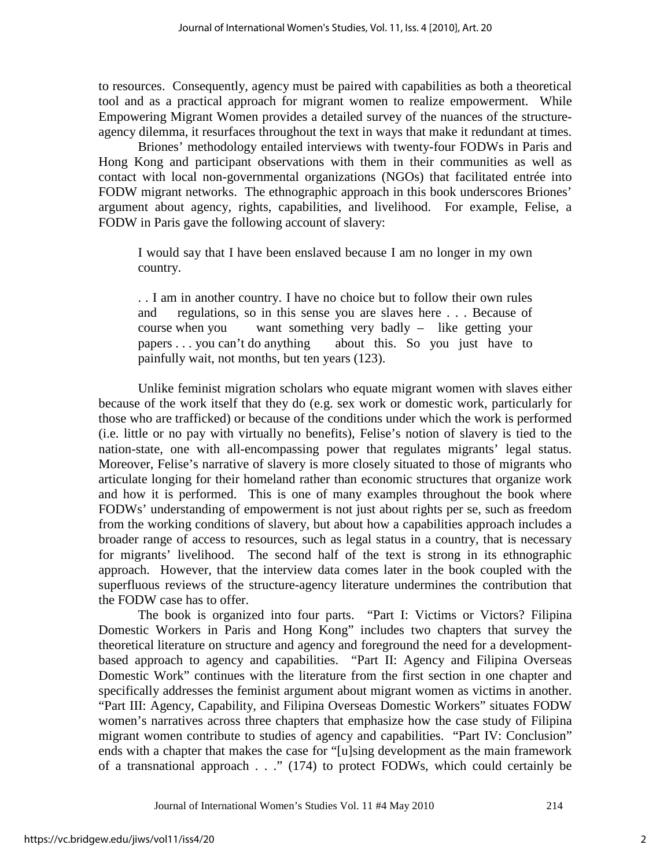to resources. Consequently, agency must be paired with capabilities as both a theoretical tool and as a practical approach for migrant women to realize empowerment. While Empowering Migrant Women provides a detailed survey of the nuances of the structureagency dilemma, it resurfaces throughout the text in ways that make it redundant at times.

Briones' methodology entailed interviews with twenty-four FODWs in Paris and Hong Kong and participant observations with them in their communities as well as contact with local non-governmental organizations (NGOs) that facilitated entrée into FODW migrant networks. The ethnographic approach in this book underscores Briones' argument about agency, rights, capabilities, and livelihood. For example, Felise, a FODW in Paris gave the following account of slavery:

I would say that I have been enslaved because I am no longer in my own country.

. . I am in another country. I have no choice but to follow their own rules and regulations, so in this sense you are slaves here . . . Because of course when you want something very badly – like getting your papers . . . you can't do anything about this. So you just have to painfully wait, not months, but ten years (123).

Unlike feminist migration scholars who equate migrant women with slaves either because of the work itself that they do (e.g. sex work or domestic work, particularly for those who are trafficked) or because of the conditions under which the work is performed (i.e. little or no pay with virtually no benefits), Felise's notion of slavery is tied to the nation-state, one with all-encompassing power that regulates migrants' legal status. Moreover, Felise's narrative of slavery is more closely situated to those of migrants who articulate longing for their homeland rather than economic structures that organize work and how it is performed. This is one of many examples throughout the book where FODWs' understanding of empowerment is not just about rights per se, such as freedom from the working conditions of slavery, but about how a capabilities approach includes a broader range of access to resources, such as legal status in a country, that is necessary for migrants' livelihood. The second half of the text is strong in its ethnographic approach. However, that the interview data comes later in the book coupled with the superfluous reviews of the structure-agency literature undermines the contribution that the FODW case has to offer.

The book is organized into four parts. "Part I: Victims or Victors? Filipina Domestic Workers in Paris and Hong Kong" includes two chapters that survey the theoretical literature on structure and agency and foreground the need for a developmentbased approach to agency and capabilities. "Part II: Agency and Filipina Overseas Domestic Work" continues with the literature from the first section in one chapter and specifically addresses the feminist argument about migrant women as victims in another. "Part III: Agency, Capability, and Filipina Overseas Domestic Workers" situates FODW women's narratives across three chapters that emphasize how the case study of Filipina migrant women contribute to studies of agency and capabilities. "Part IV: Conclusion" ends with a chapter that makes the case for "[u]sing development as the main framework of a transnational approach . . ." (174) to protect FODWs, which could certainly be